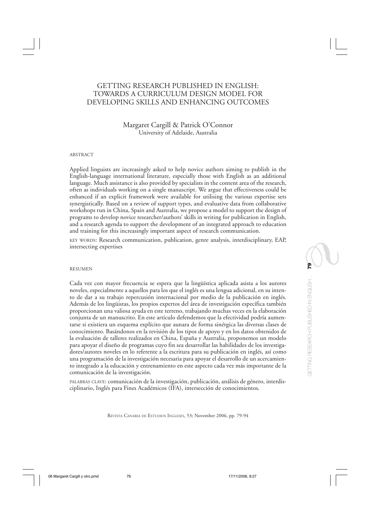# GETTING RESEARCH PUBLISHED IN ENGLISH: TOWARDS A CURRICULUM DESIGN MODEL FOR DEVELOPING SKILLS AND ENHANCING OUTCOMES

# Margaret Cargill & Patrick O'Connor University of Adelaide, Australia

#### ABSTRACT

Applied linguists are increasingly asked to help novice authors aiming to publish in the English-language international literature, especially those with English as an additional language. Much assistance is also provided by specialists in the content area of the research, often as individuals working on a single manuscript. We argue that effectiveness could be enhanced if an explicit framework were available for utilising the various expertise sets synergistically. Based on a review of support types, and evaluative data from collaborative workshops run in China, Spain and Australia, we propose a model to support the design of programs to develop novice researcher/authors' skills in writing for publication in English, and a research agenda to support the development of an integrated approach to education and training for this increasingly important aspect of research communication.

KEY WORDS: Research communication, publication, genre analysis, interdisciplinary, EAP, intersecting expertises

#### RESUMEN

Cada vez con mayor frecuencia se espera que la lingüística aplicada asista a los autores noveles, especialmente a aquellos para los que el inglés es una lengua adicional, en su intento de dar a su trabajo repercusión internacional por medio de la publicación en inglés. Además de los lingüistas, los propios expertos del área de investigación específica también proporcionan una valiosa ayuda en este terreno, trabajando muchas veces en la elaboración conjunta de un manuscrito. En este artículo defendemos que la efectividad podría aumentarse si existiera un esquema explícito que aunara de forma sinérgica las diversas clases de conocimiento. Basándonos en la revisión de los tipos de apoyo y en los datos obtenidos de la evaluación de talleres realizados en China, España y Australia, proponemos un modelo para apoyar el diseño de programas cuyo fin sea desarrollar las habilidades de los investigadores/autores noveles en lo referente a la escritura para su publicación en inglés, así como una programación de la investigación necesaria para apoyar el desarrollo de un acercamiento integrado a la educación y entrenamiento en este aspecto cada vez más importante de la comunicación de la investigación.

PALABRAS CLAVE: comunicación de la investigación, publicación, análisis de género, interdisciplinario, Inglés para Fines Académicos (IFA), intersección de conocimientos.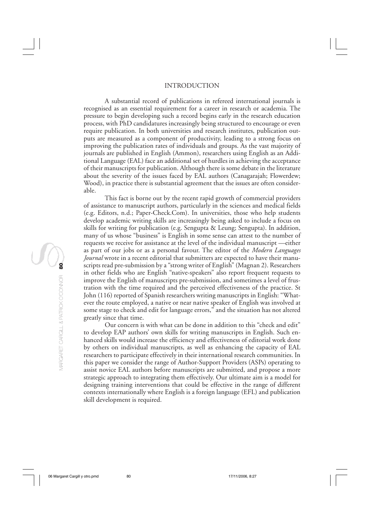#### INTRODUCTION

A substantial record of publications in refereed international journals is recognised as an essential requirement for a career in research or academia. The pressure to begin developing such a record begins early in the research education process, with PhD candidatures increasingly being structured to encourage or even require publication. In both universities and research institutes, publication outputs are measured as a component of productivity, leading to a strong focus on improving the publication rates of individuals and groups. As the vast majority of journals are published in English (Ammon), researchers using English as an Additional Language (EAL) face an additional set of hurdles in achieving the acceptance of their manuscripts for publication. Although there is some debate in the literature about the severity of the issues faced by EAL authors (Canagarajah; Flowerdew; Wood), in practice there is substantial agreement that the issues are often considerable.

This fact is borne out by the recent rapid growth of commercial providers of assistance to manuscript authors, particularly in the sciences and medical fields (e.g. Editors, n.d.; Paper-Check.Com). In universities, those who help students develop academic writing skills are increasingly being asked to include a focus on skills for writing for publication (e.g. Sengupta & Leung; Sengupta). In addition, many of us whose "business" is English in some sense can attest to the number of requests we receive for assistance at the level of the individual manuscript —either as part of our jobs or as a personal favour. The editor of the *Modern Languages Journal* wrote in a recent editorial that submitters are expected to have their manuscripts read pre-submission by a "strong writer of English" (Magnan 2). Researchers in other fields who are English "native-speakers" also report frequent requests to improve the English of manuscripts pre-submission, and sometimes a level of frustration with the time required and the perceived effectiveness of the practice. St John (116) reported of Spanish researchers writing manuscripts in English: "Whatever the route employed, a native or near native speaker of English was involved at some stage to check and edit for language errors," and the situation has not altered greatly since that time.

Our concern is with what can be done in addition to this "check and edit" to develop EAP authors' own skills for writing manuscripts in English. Such enhanced skills would increase the efficiency and effectiveness of editorial work done by others on individual manuscripts, as well as enhancing the capacity of EAL researchers to participate effectively in their international research communities. In this paper we consider the range of Author-Support Providers (ASPs) operating to assist novice EAL authors before manuscripts are submitted, and propose a more strategic approach to integrating them effectively. Our ultimate aim is a model for designing training interventions that could be effective in the range of different contexts internationally where English is a foreign language (EFL) and publication skill development is required.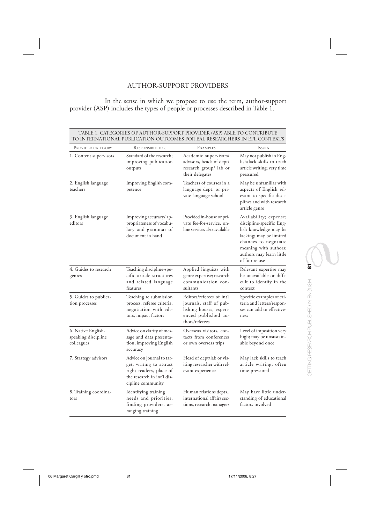# AUTHOR-SUPPORT PROVIDERS

In the sense in which we propose to use the term, author-support provider (ASP) includes the types of people or processes described in Table 1.

| PROVIDER CATEGORY                                       | <b>RESPONSIBLE FOR</b>                                                                                                             | EXAMPLES                                                                                                                 | <b>ISSUES</b>                                                                                                                                                                                        |
|---------------------------------------------------------|------------------------------------------------------------------------------------------------------------------------------------|--------------------------------------------------------------------------------------------------------------------------|------------------------------------------------------------------------------------------------------------------------------------------------------------------------------------------------------|
| 1. Content supervisors                                  | Standard of the research;<br>improving publication<br>outputs                                                                      | Academic supervisors/<br>advisors, heads of dept/<br>research group/ lab or<br>their delegates                           | May not publish in Eng-<br>lish/lack skills to teach<br>article writing; very time<br>pressured                                                                                                      |
| 2. English language<br>teachers                         | Improving English com-<br>petence                                                                                                  | Teachers of courses in a<br>language dept. or pri-<br>vate language school                                               | May be unfamiliar with<br>aspects of English rel-<br>evant to specific disci-<br>plines and with research<br>article genre                                                                           |
| 3. English language<br>editors                          | Improving accuracy/ ap-<br>propriateness of vocabu-<br>lary and grammar of<br>document in hand                                     | Provided in-house or pri-<br>vate fee-for-service, on-<br>line services also available                                   | Availability; expense;<br>discipline-specific Eng-<br>lish knowledge may be<br>lacking; may be limited<br>chances to negotiate<br>meaning with authors;<br>authors may learn little<br>of future use |
| 4. Guides to research<br>genres                         | Teaching discipline-spe-<br>cific article structures<br>and related language<br>features                                           | Applied linguists with<br>genre expertise; research<br>communication con-<br>sultants                                    | Relevant expertise may<br>be unavailable or diffi-<br>cult to identify in the<br>context                                                                                                             |
| 5. Guides to publica-<br>tion processes                 | Teaching re submission<br>process, referee criteria,<br>negotiation with edi-<br>tors, impact factors                              | Editors/referees of int'l<br>journals, staff of pub-<br>lishing houses, experi-<br>enced published au-<br>thors/referees | Specific examples of cri-<br>teria and letters/respon-<br>ses can add to effective-<br>ness                                                                                                          |
| 6. Native English-<br>speaking discipline<br>colleagues | Advice on clarity of mes-<br>sage and data presenta-<br>tion, improving English<br>accuracy                                        | Overseas visitors, con-<br>tacts from conferences<br>or own overseas trips                                               | Level of imposition very<br>high; may be unsustain-<br>able beyond once                                                                                                                              |
| 7. Strategy advisors                                    | Advice on journal to tar-<br>get, writing to attract<br>right readers, place of<br>the research in int'l dis-<br>cipline community | Head of dept/lab or vis-<br>iting researcher with rel-<br>evant experience                                               | May lack skills to teach<br>article writing; often<br>time-pressured                                                                                                                                 |
| 8. Training coordina-<br>tors                           | Identifying training<br>needs and priorities,<br>finding providers, ar-<br>ranging training                                        | Human relations depts.,<br>international affairs sec-<br>tions, research managers                                        | May have little under-<br>standing of educational<br>factors involved                                                                                                                                |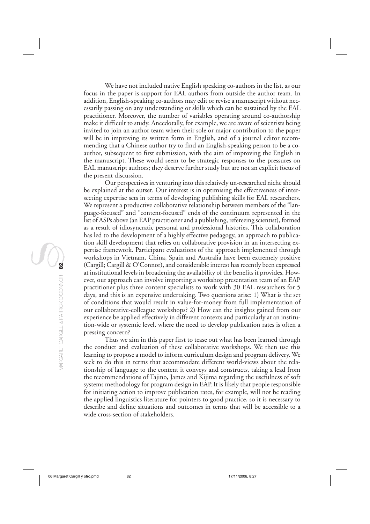We have not included native English speaking co-authors in the list, as our focus in the paper is support for EAL authors from outside the author team. In addition, English-speaking co-authors may edit or revise a manuscript without necessarily passing on any understanding or skills which can be sustained by the EAL practitioner. Moreover, the number of variables operating around co-authorship make it difficult to study. Anecdotally, for example, we are aware of scientists being invited to join an author team when their sole or major contribution to the paper will be in improving its written form in English, and of a journal editor recommending that a Chinese author try to find an English-speaking person to be a coauthor, subsequent to first submission, with the aim of improving the English in the manuscript. These would seem to be strategic responses to the pressures on EAL manuscript authors; they deserve further study but are not an explicit focus of the present discussion.

Our perspectives in venturing into this relatively un-researched niche should be explained at the outset. Our interest is in optimising the effectiveness of intersecting expertise sets in terms of developing publishing skills for EAL researchers. We represent a productive collaborative relationship between members of the "language-focused" and "content-focused" ends of the continuum represented in the list of ASPs above (an EAP practitioner and a publishing, refereeing scientist), formed as a result of idiosyncratic personal and professional histories. This collaboration has led to the development of a highly effective pedagogy, an approach to publication skill development that relies on collaborative provision in an intersecting expertise framework. Participant evaluations of the approach implemented through workshops in Vietnam, China, Spain and Australia have been extremely positive (Cargill; Cargill & O'Connor), and considerable interest has recently been expressed at institutional levels in broadening the availability of the benefits it provides. However, our approach can involve importing a workshop presentation team of an EAP practitioner plus three content specialists to work with 30 EAL researchers for 5 days, and this is an expensive undertaking. Two questions arise: 1) What is the set of conditions that would result in value-for-money from full implementation of our collaborative-colleague workshops? 2) How can the insights gained from our experience be applied effectively in different contexts and particularly at an institution-wide or systemic level, where the need to develop publication rates is often a pressing concern?

Thus we aim in this paper first to tease out what has been learned through the conduct and evaluation of these collaborative workshops. We then use this learning to propose a model to inform curriculum design and program delivery. We seek to do this in terms that accommodate different world-views about the relationship of language to the content it conveys and constructs, taking a lead from the recommendations of Tajino, James and Kijima regarding the usefulness of soft systems methodology for program design in EAP. It is likely that people responsible for initiating action to improve publication rates, for example, will not be reading the applied linguistics literature for pointers to good practice, so it is necessary to describe and define situations and outcomes in terms that will be accessible to a wide cross-section of stakeholders.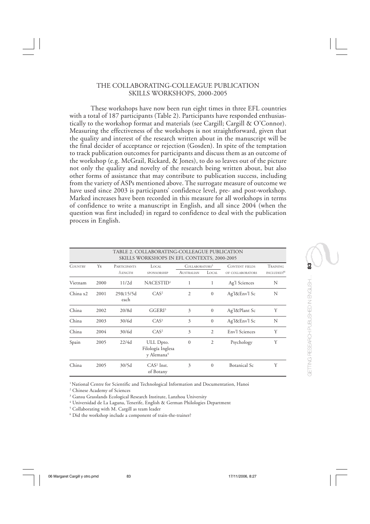## THE COLLABORATING-COLLEAGUE PUBLICATION SKILLS WORKSHOPS, 2000-2005

These workshops have now been run eight times in three EFL countries with a total of 187 participants (Table 2). Participants have responded enthusiastically to the workshop format and materials (see Cargill; Cargill & O'Connor). Measuring the effectiveness of the workshops is not straightforward, given that the quality and interest of the research written about in the manuscript will be the final decider of acceptance or rejection (Gosden). In spite of the temptation to track publication outcomes for participants and discuss them as an outcome of the workshop (e.g. McGrail, Rickard, & Jones), to do so leaves out of the picture not only the quality and novelty of the research being written about, but also other forms of assistance that may contribute to publication success, including from the variety of ASPs mentioned above. The surrogate measure of outcome we have used since 2003 is participants' confidence level, pre- and post-workshop. Marked increases have been recorded in this measure for all workshops in terms of confidence to write a manuscript in English, and all since 2004 (when the question was first included) in regard to confidence to deal with the publication process in English.

| TABLE 2. COLLABORATING-COLLEAGUE PUBLICATION<br><b>SKILLS WORKSHOPS IN EFL CONTEXTS, 2000-2005</b> |      |                                |                                                          |                                          |                |                                           |                                           |
|----------------------------------------------------------------------------------------------------|------|--------------------------------|----------------------------------------------------------|------------------------------------------|----------------|-------------------------------------------|-------------------------------------------|
| <b>COUNTRY</b>                                                                                     | YR   | <b>PARTICIPANTS</b><br>/LENGTH | LOCAL<br>SPONSORSHIP                                     | COLLABORATORS <sup>5</sup><br>AUSTRALIAN | LOCAL          | <b>CONTENT FIELDS</b><br>OF COLLABORATORS | <b>TRAINING</b><br>INCLUDED? <sup>6</sup> |
| Vietnam                                                                                            | 2000 | 11/2d                          | NACESTID <sup>1</sup>                                    | 1                                        | 1              | Ag'l Sciences                             | N                                         |
| China x2                                                                                           | 2001 | 29&15/5d<br>each               | CAS <sup>2</sup>                                         | $\overline{2}$                           | $\mathbf{0}$   | Ag'l&Env'l Sc                             | N                                         |
| China                                                                                              | 2002 | 20/8d                          | GGERI <sup>3</sup>                                       | 3                                        | $\mathbf{0}$   | Ag'l&Plant Sc                             | Υ                                         |
| China                                                                                              | 2003 | 30/6d                          | CAS <sup>2</sup>                                         | 3                                        | $\mathbf{0}$   | Ag'l&Env'l Sc                             | N                                         |
| China                                                                                              | 2004 | 30/6d                          | CAS <sup>2</sup>                                         | 3                                        | $\overline{c}$ | Env'l Sciences                            | Y                                         |
| Spain                                                                                              | 2005 | 22/4d                          | ULL Dpto.<br>Filología Inglesa<br>y Alemana <sup>4</sup> | $\mathbf{0}$                             | $\overline{2}$ | Psychology                                | Y                                         |
| China                                                                                              | 2005 | 30/5d                          | $CAS2$ Inst.<br>of Botany                                | 3                                        | $\Omega$       | <b>Botanical Sc</b>                       | Y                                         |

<sup>1</sup> National Centre for Scientific and Technological Information and Documentation, Hanoi

2 Chinese Academy of Sciences

3 Gansu Grasslands Ecological Research Institute, Lanzhou University

4 Universidad de La Laguna, Tenerife, English & German Philologies Department

5 Collaborating with M. Cargill as team leader

6 Did the workshop include a component of train-the-trainer?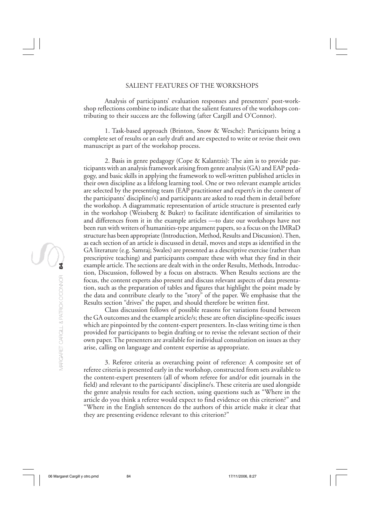#### SALIENT FEATURES OF THE WORKSHOPS

Analysis of participants' evaluation responses and presenters' post-workshop reflections combine to indicate that the salient features of the workshops contributing to their success are the following (after Cargill and O'Connor).

1. Task-based approach (Brinton, Snow & Wesche): Participants bring a complete set of results or an early draft and are expected to write or revise their own manuscript as part of the workshop process.

2. Basis in genre pedagogy (Cope & Kalantzis): The aim is to provide participants with an analysis framework arising from genre analysis (GA) and EAP pedagogy, and basic skills in applying the framework to well-written published articles in their own discipline as a lifelong learning tool. One or two relevant example articles are selected by the presenting team (EAP practitioner and expert/s in the content of the participants' discipline/s) and participants are asked to read them in detail before the workshop. A diagrammatic representation of article structure is presented early in the workshop (Weissberg & Buker) to facilitate identification of similarities to and differences from it in the example articles —to date our workshops have not been run with writers of humanities-type argument papers, so a focus on the IMRaD structure has been appropriate (Introduction, Method, Results and Discussion). Then, as each section of an article is discussed in detail, moves and steps as identified in the GA literature (e.g. Samraj; Swales) are presented as a descriptive exercise (rather than prescriptive teaching) and participants compare these with what they find in their example article. The sections are dealt with in the order Results, Methods, Introduction, Discussion, followed by a focus on abstracts. When Results sections are the focus, the content experts also present and discuss relevant aspects of data presentation, such as the preparation of tables and figures that highlight the point made by the data and contribute clearly to the "story" of the paper. We emphasise that the Results section "drives" the paper, and should therefore be written first.

Class discussion follows of possible reasons for variations found between the GA outcomes and the example article/s; these are often discipline-specific issues which are pinpointed by the content-expert presenters. In-class writing time is then provided for participants to begin drafting or to revise the relevant section of their own paper. The presenters are available for individual consultation on issues as they arise, calling on language and content expertise as appropriate.

3. Referee criteria as overarching point of reference: A composite set of referee criteria is presented early in the workshop, constructed from sets available to the content-expert presenters (all of whom referee for and/or edit journals in the field) and relevant to the participants' discipline/s. These criteria are used alongside the genre analysis results for each section, using questions such as "Where in the article do you think a referee would expect to find evidence on this criterion?" and "Where in the English sentences do the authors of this article make it clear that they are presenting evidence relevant to this criterion?"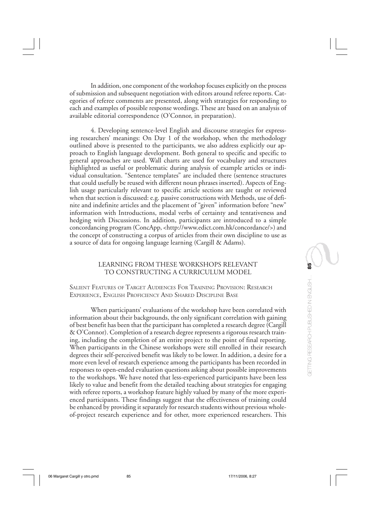In addition, one component of the workshop focuses explicitly on the process of submission and subsequent negotiation with editors around referee reports. Categories of referee comments are presented, along with strategies for responding to each and examples of possible response wordings. These are based on an analysis of available editorial correspondence (O'Connor, in preparation).

4. Developing sentence-level English and discourse strategies for expressing researchers' meanings: On Day 1 of the workshop, when the methodology outlined above is presented to the participants, we also address explicitly our approach to English language development. Both general to specific and specific to general approaches are used. Wall charts are used for vocabulary and structures highlighted as useful or problematic during analysis of example articles or individual consultation. "Sentence templates" are included there (sentence structures that could usefully be reused with different noun phrases inserted). Aspects of English usage particularly relevant to specific article sections are taught or reviewed when that section is discussed: e.g. passive constructions with Methods, use of definite and indefinite articles and the placement of "given" information before "new" information with Introductions, modal verbs of certainty and tentativeness and hedging with Discussions. In addition, participants are introduced to a simple concordancing program (ConcApp, <http://www.edict.com.hk/concordance/>) and the concept of constructing a corpus of articles from their own discipline to use as a source of data for ongoing language learning (Cargill & Adams).

# LEARNING FROM THESE WORKSHOPS RELEVANT TO CONSTRUCTING A CURRICULUM MODEL

SALIENT FEATURES OF TARGET AUDIENCES FOR TRAINING PROVISION: RESEARCH EXPERIENCE, ENGLISH PROFICIENCY AND SHARED DISCIPLINE BASE

When participants' evaluations of the workshop have been correlated with information about their backgrounds, the only significant correlation with gaining of best benefit has been that the participant has completed a research degree (Cargill & O'Connor). Completion of a research degree represents a rigorous research training, including the completion of an entire project to the point of final reporting. When participants in the Chinese workshops were still enrolled in their research degrees their self-perceived benefit was likely to be lower. In addition, a desire for a more even level of research experience among the participants has been recorded in responses to open-ended evaluation questions asking about possible improvements to the workshops. We have noted that less-experienced participants have been less likely to value and benefit from the detailed teaching about strategies for engaging with referee reports, a workshop feature highly valued by many of the more experienced participants. These findings suggest that the effectiveness of training could be enhanced by providing it separately for research students without previous wholeof-project research experience and for other, more experienced researchers. This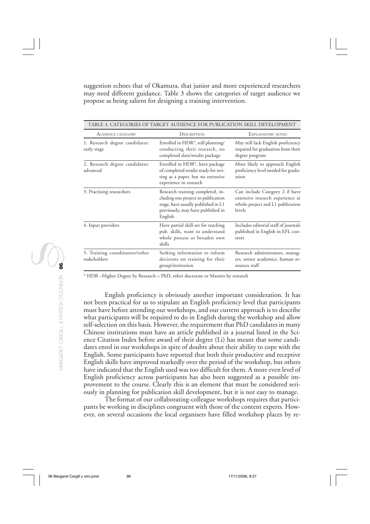suggestion echoes that of Okamura, that junior and more experienced researchers may need different guidance. Table 3 shows the categories of target audience we propose as being salient for designing a training intervention.

| <b>AUDIENCE CATEGORY</b>                       | DESCRIPTION                                                                                                                                                   | <b>EXPLANATORY NOTES</b><br>May still lack English proficiency<br>required for graduation from their<br>degree program |  |
|------------------------------------------------|---------------------------------------------------------------------------------------------------------------------------------------------------------------|------------------------------------------------------------------------------------------------------------------------|--|
| 1. Research degree candidates:<br>early stage  | Enrolled in HDR*, still planning/<br>conducting their research, no<br>completed data/results package                                                          |                                                                                                                        |  |
| 2. Research degree candidates:<br>advanced     | Enrolled in HDR <sup>*</sup> , have package<br>of completed results ready for wri-<br>ting as a paper, but no extensive<br>experience in research             | More likely to approach English<br>proficiency level needed for gradu-<br>ation                                        |  |
| 3. Practising researchers                      | Research training completed, in-<br>cluding one project to publication<br>stage, have usually published in L1<br>previously, may have published in<br>English | Can include Category 2 if have<br>extensive research experience at<br>whole-project and L1 publication<br>levels       |  |
| 4. Input providers                             | Have partial skill-set for teaching<br>pub. skills, want to understand<br>whole process or broaden own<br>skills                                              | Includes editorial staff of journals<br>published in English in EFL con-<br>texts                                      |  |
| 5. Training coordinators/other<br>stakeholders | Seeking information to inform<br>decisions on training for their<br>group/institution                                                                         | Research administrators, manag-<br>ers, senior academics, human re-<br>sources staff                                   |  |

TABLE 3. CATEGORIES OF TARGET AUDIENCE FOR PUBLICATION SKILL DEVELOPMENT

\* HDR –Higher Degree by Research = PhD, other doctorate or Masters by research

English proficiency is obviously another important consideration. It has not been practical for us to stipulate an English proficiency level that participants must have before attending our workshops, and our current approach is to describe what participants will be required to do in English during the workshop and allow self-selection on this basis. However, the requirement that PhD candidates in many Chinese institutions must have an article published in a journal listed in the Science Citation Index before award of their degree (Li) has meant that some candidates enrol in our workshops in spite of doubts about their ability to cope with the English. Some participants have reported that both their productive and receptive English skills have improved markedly over the period of the workshop, but others have indicated that the English used was too difficult for them. A more even level of English proficiency across participants has also been suggested as a possible improvement to the course. Clearly this is an element that must be considered seriously in planning for publication skill development, but it is not easy to manage.

The format of our collaborating-colleague workshops requires that participants be working in disciplines congruent with those of the content experts. However, on several occasions the local organisers have filled workshop places by re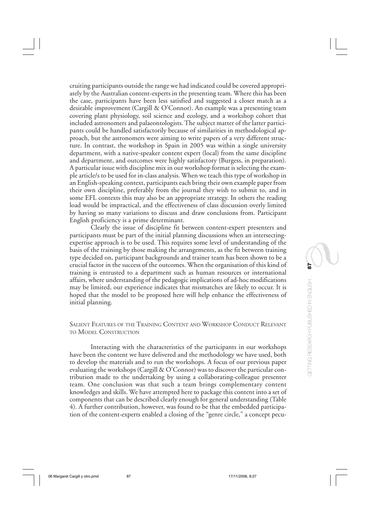cruiting participants outside the range we had indicated could be covered appropriately by the Australian content-experts in the presenting team. Where this has been the case, participants have been less satisfied and suggested a closer match as a desirable improvement (Cargill & O'Connor). An example was a presenting team covering plant physiology, soil science and ecology, and a workshop cohort that included astronomers and palaeontologists. The subject matter of the latter participants could be handled satisfactorily because of similarities in methodological approach, but the astronomers were aiming to write papers of a very different structure. In contrast, the workshop in Spain in 2005 was within a single university department, with a native-speaker content expert (local) from the same discipline and department, and outcomes were highly satisfactory (Burgess, in preparation). A particular issue with discipline mix in our workshop format is selecting the example article/s to be used for in-class analysis. When we teach this type of workshop in an English-speaking context, participants each bring their own example paper from their own discipline, preferably from the journal they wish to submit to, and in some EFL contexts this may also be an appropriate strategy. In others the reading load would be impractical, and the effectiveness of class discussion overly limited by having so many variations to discuss and draw conclusions from. Participant English proficiency is a prime determinant.

Clearly the issue of discipline fit between content-expert presenters and participants must be part of the initial planning discussions when an intersectingexpertise approach is to be used. This requires some level of understanding of the basis of the training by those making the arrangements, as the fit between training type decided on, participant backgrounds and trainer team has been shown to be a crucial factor in the success of the outcomes. When the organisation of this kind of training is entrusted to a department such as human resources or international affairs, where understanding of the pedagogic implications of ad-hoc modifications may be limited, our experience indicates that mismatches are likely to occur. It is hoped that the model to be proposed here will help enhance the effectiveness of initial planning.

# SALIENT FEATURES OF THE TRAINING CONTENT AND WORKSHOP CONDUCT RELEVANT TO MODEL CONSTRUCTION

Interacting with the characteristics of the participants in our workshops have been the content we have delivered and the methodology we have used, both to develop the materials and to run the workshops. A focus of our previous paper evaluating the workshops (Cargill & O'Connor) was to discover the particular contribution made to the undertaking by using a collaborating-colleague presenter team. One conclusion was that such a team brings complementary content knowledges and skills. We have attempted here to package this content into a set of components that can be described clearly enough for general understanding (Table 4). A further contribution, however, was found to be that the embedded participation of the content-experts enabled a closing of the "genre circle," a concept pecu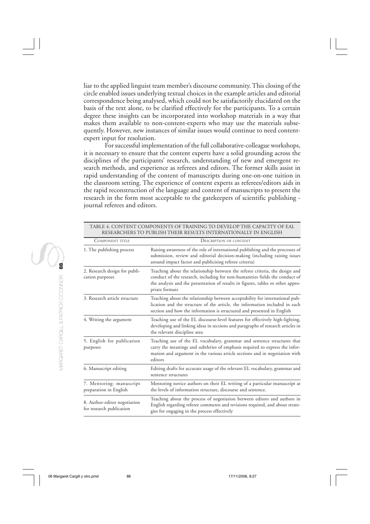liar to the applied linguist team member's discourse community. This closing of the circle enabled issues underlying textual choices in the example articles and editorial correspondence being analysed, which could not be satisfactorily elucidated on the basis of the text alone, to be clarified effectively for the participants. To a certain degree these insights can be incorporated into workshop materials in a way that makes them available to non-content-experts who may use the materials subsequently. However, new instances of similar issues would continue to need contentexpert input for resolution.

For successful implementation of the full collaborative-colleague workshops, it is necessary to ensure that the content experts have a solid grounding across the disciplines of the participants' research, understanding of new and emergent research methods, and experience as referees and editors. The former skills assist in rapid understanding of the content of manuscripts during one-on-one tuition in the classroom setting. The experience of content experts as referees/editors aids in the rapid reconstruction of the language and content of manuscripts to present the research in the form most acceptable to the gatekeepers of scientific publishing journal referees and editors.

|                                                          | TABLE 4. CONTENT COMPONENTS OF TRAINING TO DEVELOP THE CAPACITY OF EAL<br>RESEARCHERS TO PUBLISH THEIR RESULTS INTERNATIONALLY IN ENGLISH                                                                                                         |  |
|----------------------------------------------------------|---------------------------------------------------------------------------------------------------------------------------------------------------------------------------------------------------------------------------------------------------|--|
| COMPONENT TITLE                                          | <b>DESCRIPTION OF CONTENT</b>                                                                                                                                                                                                                     |  |
| 1. The publishing process                                | Raising awareness of the role of international publishing and the processes of<br>submission, review and editorial decision-making (including raising issues<br>around impact factor and publicising referee criteria)                            |  |
| 2. Research design for publi-                            | Teaching about the relationship between the referee criteria, the design and                                                                                                                                                                      |  |
| cation purposes                                          | conduct of the research, including for non-humanities fields the conduct of<br>the analysis and the presentation of results in figures, tables or other appro-<br>priate formats                                                                  |  |
| 3. Research article structure                            | Teaching about the relationship between acceptability for international pub-<br>lication and the structure of the article, the information included in each<br>section and how the information is structured and presented in English             |  |
| 4. Writing the argument                                  | Teaching use of the EL discourse-level features for effectively high-lighting,<br>developing and linking ideas in sections and paragraphs of research articles in<br>the relevant discipline area                                                 |  |
| 5. English for publication<br>purposes                   | Teaching use of the EL vocabulary, grammar and sentence structures that<br>carry the meanings and subtleties of emphasis required to express the infor-<br>mation and argument in the various article sections and in negotiation with<br>editors |  |
| 6. Manuscript editing                                    | Editing drafts for accurate usage of the relevant EL vocabulary, grammar and<br>sentence structures                                                                                                                                               |  |
| 7. Mentoring: manuscript<br>preparation in English       | Mentoring novice authors on their EL writing of a particular manuscript at<br>the levels of information structure, discourse and sentence.                                                                                                        |  |
| 8. Author-editor negotiation<br>for research publication | Teaching about the process of negotiation between editors and authors in<br>English regarding referee comments and revisions required, and about strate-<br>gies for engaging in the process effectively                                          |  |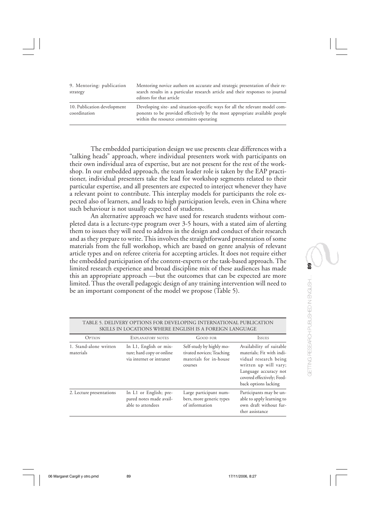| 9. Mentoring: publication<br>strategy       | Mentoring novice authors on accurate and strategic presentation of their re-<br>search results in a particular research article and their responses to journal<br>editors for that article               |
|---------------------------------------------|----------------------------------------------------------------------------------------------------------------------------------------------------------------------------------------------------------|
| 10. Publication development<br>coordination | Developing site- and situation-specific ways for all the relevant model com-<br>ponents to be provided effectively by the most appropriate available people<br>within the resource constraints operating |

The embedded participation design we use presents clear differences with a "talking heads" approach, where individual presenters work with participants on their own individual area of expertise, but are not present for the rest of the workshop. In our embedded approach, the team leader role is taken by the EAP practitioner, individual presenters take the lead for workshop segments related to their particular expertise, and all presenters are expected to interject whenever they have a relevant point to contribute. This interplay models for participants the role expected also of learners, and leads to high participation levels, even in China where such behaviour is not usually expected of students.

An alternative approach we have used for research students without completed data is a lecture-type program over 3-5 hours, with a stated aim of alerting them to issues they will need to address in the design and conduct of their research and as they prepare to write. This involves the straightforward presentation of some materials from the full workshop, which are based on genre analysis of relevant article types and on referee criteria for accepting articles. It does not require either the embedded participation of the content-experts or the task-based approach. The limited research experience and broad discipline mix of these audiences has made this an appropriate approach —but the outcomes that can be expected are more limited. Thus the overall pedagogic design of any training intervention will need to be an important component of the model we propose (Table 5).

|                                     |                                                                                 | SKILLS IN LOCATIONS WHERE ENGLISH IS A FOREIGN LANGUAGE                                    |                                                                                                                                                                                        |
|-------------------------------------|---------------------------------------------------------------------------------|--------------------------------------------------------------------------------------------|----------------------------------------------------------------------------------------------------------------------------------------------------------------------------------------|
| <b>OPTION</b>                       | EXPLANATORY NOTES                                                               | <b>GOOD FOR</b>                                                                            | <b>ISSUES</b>                                                                                                                                                                          |
| 1. Stand-alone written<br>materials | In L1, English or mix-<br>ture; hard copy or online<br>via internet or intranet | Self-study by highly mo-<br>tivated novices; Teaching<br>materials for in-house<br>courses | Availability of suitable<br>materials; Fit with indi-<br>vidual research being<br>written up will vary;<br>Language accuracy not<br>covered effectively; Feed-<br>back options lacking |
| 2. Lecture presentations            | In L1 or English; pre-<br>pared notes made avail-<br>able to attendees          | Large participant num-<br>bers, more generic types<br>of information                       | Participants may be un-<br>able to apply learning to<br>own draft without fur-<br>ther assistance                                                                                      |

# TABLE 5. DELIVERY OPTIONS FOR DEVELOPING INTERNATIONAL PUBLICATION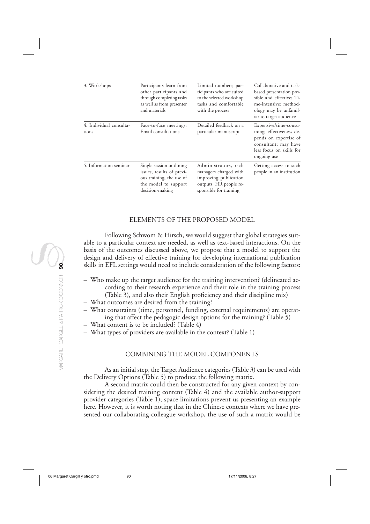| 3. Workshops                     | Participants learn from<br>other participants and<br>through completing tasks<br>as well as from presenter<br>and materials  | Limited numbers; par-<br>ticipants who are suited<br>to the selected workshop<br>tasks and comfortable<br>with the process | Collaborative and task-<br>based presentation pos-<br>sible and effective; Ti-<br>me-intensive; method-<br>ology may be unfamil-<br>iar to target audience |
|----------------------------------|------------------------------------------------------------------------------------------------------------------------------|----------------------------------------------------------------------------------------------------------------------------|------------------------------------------------------------------------------------------------------------------------------------------------------------|
| 4. Individual consulta-<br>tions | Face-to-face meetings;<br>Email consultations                                                                                | Detailed feedback on a<br>particular manuscript                                                                            | Expensive/time-consu-<br>ming; effectiveness de-<br>pends on expertise of<br>consultant; may have<br>less focus on skills for<br>ongoing use               |
| 5. Information seminar           | Single session outlining<br>issues, results of previ-<br>ous training, the use of<br>the model to support<br>decision-making | Administrators, rsch<br>managers charged with<br>improving publication<br>outputs, HR people re-<br>sponsible for training | Getting access to such<br>people in an institution                                                                                                         |

# ELEMENTS OF THE PROPOSED MODEL

Following Schwom & Hirsch, we would suggest that global strategies suitable to a particular context are needed, as well as text-based interactions. On the basis of the outcomes discussed above, we propose that a model to support the design and delivery of effective training for developing international publication skills in EFL settings would need to include consideration of the following factors:

- Who make up the target audience for the training intervention? (delineated according to their research experience and their role in the training process (Table 3), and also their English proficiency and their discipline mix)
- What outcomes are desired from the training?
- What constraints (time, personnel, funding, external requirements) are operating that affect the pedagogic design options for the training? (Table 5)
- What content is to be included? (Table 4)
- What types of providers are available in the context? (Table 1)

## COMBINING THE MODEL COMPONENTS

As an initial step, the Target Audience categories (Table 3) can be used with the Delivery Options (Table 5) to produce the following matrix.

A second matrix could then be constructed for any given context by considering the desired training content (Table 4) and the available author-support provider categories (Table 1); space limitations prevent us presenting an example here. However, it is worth noting that in the Chinese contexts where we have presented our collaborating-colleague workshop, the use of such a matrix would be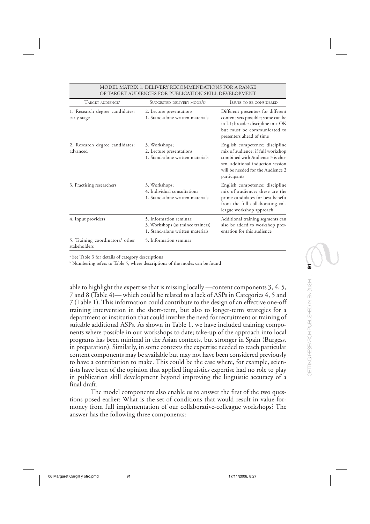|                                                 | OL TIIKULT ITODILINGLƏ I OK I ODLIGITION ƏKILL DLYLLOI MILINI                                     |                                                                                                                                                                                                   |  |
|-------------------------------------------------|---------------------------------------------------------------------------------------------------|---------------------------------------------------------------------------------------------------------------------------------------------------------------------------------------------------|--|
| TARGET AUDIENCE <sup>a</sup>                    | SUGGESTED DELIVERY MODE/S <sup>b</sup>                                                            | <b>ISSUES TO BE CONSIDERED</b>                                                                                                                                                                    |  |
| 1. Research degree candidates:<br>early stage   | 2. Lecture presentations<br>1. Stand-alone written materials                                      | Different presenters for different<br>content sets possible; some can be<br>in L1; broader discipline mix OK<br>but must be communicated to<br>presenters ahead of time                           |  |
| 2. Research degree candidates:<br>advanced      | 3. Workshops;<br>2. Lecture presentations<br>1. Stand-alone written materials                     | English competence; discipline<br>mix of audience; if full workshop<br>combined with Audience 3 is cho-<br>sen, additional induction session<br>will be needed for the Audience 2<br>participants |  |
| 3. Practising researchers                       | 3. Workshops;<br>4. Individual consultations<br>1. Stand-alone written materials                  | English competence; discipline<br>mix of audience; these are the<br>prime candidates for best benefit<br>from the full collaborating-col-<br>league workshop approach                             |  |
| 4. Input providers                              | 5. Information seminar;<br>3. Workshops (as trainee trainers)<br>1. Stand-alone written materials | Additional training segments can<br>also be added to workshop pres-<br>entation for this audience                                                                                                 |  |
| 5. Training coordinators/ other<br>stakeholders | 5. Information seminar                                                                            |                                                                                                                                                                                                   |  |

#### MODEL MATRIX 1. DELIVERY RECOMMENDATIONS FOR A RANGE OF TARCET AUDIENCES FOR RUBLICATION SKILL DEVELOPMENT

a See Table 3 for details of category descriptions

b Numbering refers to Table 5, where descriptions of the modes can be found

able to highlight the expertise that is missing locally —content components 3, 4, 5, 7 and 8 (Table 4)— which could be related to a lack of ASPs in Categories 4, 5 and 7 (Table 1). This information could contribute to the design of an effective one-off training intervention in the short-term, but also to longer-term strategies for a department or institution that could involve the need for recruitment or training of suitable additional ASPs. As shown in Table 1, we have included training components where possible in our workshops to date; take-up of the approach into local programs has been minimal in the Asian contexts, but stronger in Spain (Burgess, in preparation). Similarly, in some contexts the expertise needed to teach particular content components may be available but may not have been considered previously to have a contribution to make. This could be the case where, for example, scientists have been of the opinion that applied linguistics expertise had no role to play in publication skill development beyond improving the linguistic accuracy of a final draft.

The model components also enable us to answer the first of the two questions posed earlier: What is the set of conditions that would result in value-formoney from full implementation of our collaborative-colleague workshops? The answer has the following three components: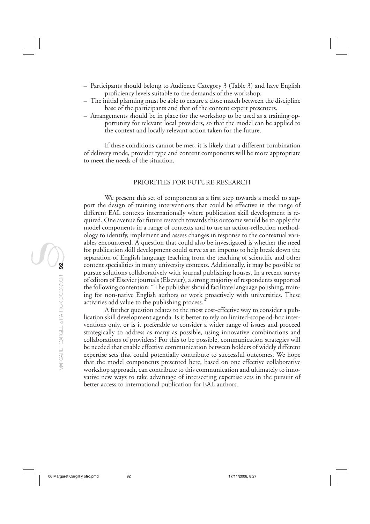- Participants should belong to Audience Category 3 (Table 3) and have English proficiency levels suitable to the demands of the workshop.
- The initial planning must be able to ensure a close match between the discipline base of the participants and that of the content expert presenters.
- Arrangements should be in place for the workshop to be used as a training opportunity for relevant local providers, so that the model can be applied to the context and locally relevant action taken for the future.

If these conditions cannot be met, it is likely that a different combination of delivery mode, provider type and content components will be more appropriate to meet the needs of the situation.

## PRIORITIES FOR FUTURE RESEARCH

We present this set of components as a first step towards a model to support the design of training interventions that could be effective in the range of different EAL contexts internationally where publication skill development is required. One avenue for future research towards this outcome would be to apply the model components in a range of contexts and to use an action-reflection methodology to identify, implement and assess changes in response to the contextual variables encountered. A question that could also be investigated is whether the need for publication skill development could serve as an impetus to help break down the separation of English language teaching from the teaching of scientific and other content specialities in many university contexts. Additionally, it may be possible to pursue solutions collaboratively with journal publishing houses. In a recent survey of editors of Elsevier journals (Elsevier), a strong majority of respondents supported the following contention: "The publisher should facilitate language polishing, training for non-native English authors or work proactively with universities. These activities add value to the publishing process."

A further question relates to the most cost-effective way to consider a publication skill development agenda. Is it better to rely on limited-scope ad-hoc interventions only, or is it preferable to consider a wider range of issues and proceed strategically to address as many as possible, using innovative combinations and collaborations of providers? For this to be possible, communication strategies will be needed that enable effective communication between holders of widely different expertise sets that could potentially contribute to successful outcomes. We hope that the model components presented here, based on one effective collaborative workshop approach, can contribute to this communication and ultimately to innovative new ways to take advantage of intersecting expertise sets in the pursuit of better access to international publication for EAL authors.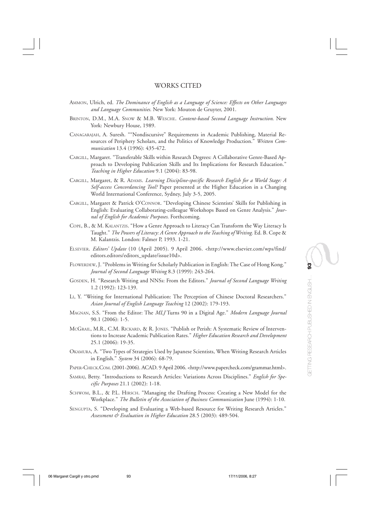### WORKS CITED

- AMMON, Ulrich, ed. *The Dominance of English as a Language of Science: Effects on Other Languages and Language Communities*. New York: Mouton de Gruyter, 2001.
- BRINTON, D.M., M.A. SNOW & M.B. WESCHE. *Content-based Second Language Instruction*. New York: Newbury House, 1989.
- CANAGARAJAH, A. Suresh. ""Nondiscursive" Requirements in Academic Publishing, Material Resources of Periphery Scholars, and the Politics of Knowledge Production." *Written Communication* 13.4 (1996): 435-472.
- CARGILL, Margaret. "Transferable Skills within Research Degrees: A Collaborative Genre-Based Approach to Developing Publication Skills and Its Implications for Research Education." *Teaching in Higher Education* 9.1 (2004): 83-98.
- CARGILL, Margaret, & R. ADAMS. *Learning Discipline-specific Research English for a World Stage: A Self-access Concordancing Tool?* Paper presented at the Higher Education in a Changing World International Conference, Sydney, July 3-5, 2005.
- CARGILL, Margaret & Patrick O'CONNOR. "Developing Chinese Scientists' Skills for Publishing in English: Evaluating Collaborating-colleague Workshops Based on Genre Analysis." *Journal of English for Academic Purposes*. Forthcoming.
- COPE, B., & M. KALANTZIS. "How a Genre Approach to Literacy Can Transform the Way Literacy Is Taught." The Powers of Literacy: A Genre Approach to the Teaching of Writing. Ed. B. Cope & M. Kalantzis. London: Falmer P, 1993. 1-21.
- ELSEVIER. *Editors' Update* (10 (April 2005). 9 April 2006. <http://www.elsevier.com/wps/find/ editors.editors/editors\_update/issue10d>.
- FLOWERDEW, J. "Problems in Writing for Scholarly Publication in English: The Case of Hong Kong." *Journal of Second Language Writing* 8.3 (1999): 243-264.
- GOSDEN, H. "Research Writing and NNSs: From the Editors." *Journal of Second Language Writing* 1.2 (1992): 123-139.
- LI, Y. "Writing for International Publication: The Perception of Chinese Doctoral Researchers." *Asian Journal of English Language Teaching* 12 (2002): 179-193.
- MAGNAN, S.S. "From the Editor: The *MLJ* Turns 90 in a Digital Age." *Modern Language Journal* 90.1 (2006): 1-5.
- MCGRAIL, M.R., C.M. RICKARD, & R. JONES. "Publish or Perish: A Systematic Review of Interventions to Increase Academic Publication Rates." *Higher Education Research and Development* 25.1 (2006): 19-35.
- OKAMURA, A. "Two Types of Strategies Used by Japanese Scientists, When Writing Research Articles in English." *System* 34 (2006): 68-79.
- PAPER-CHECK.COM. (2001-2006). ACAD. 9 April 2006. <http://www.papercheck.com/grammar.html>.
- SAMRAJ, Betty. "Introductions to Research Articles: Variations Across Disciplines." *English for Specific Purposes* 21.1 (2002): 1-18.
- SCHWOM, B.L., & P.L. HIRSCH. "Managing the Drafting Process: Creating a New Model for the Workplace." *The Bulletin of the Association of Business Communication* June (1994): 1-10.
- SENGUPTA, S. "Developing and Evaluating a Web-based Resource for Writing Research Articles." *Assessment & Evaluation in Higher Education* 28.5 (2003): 489-504.